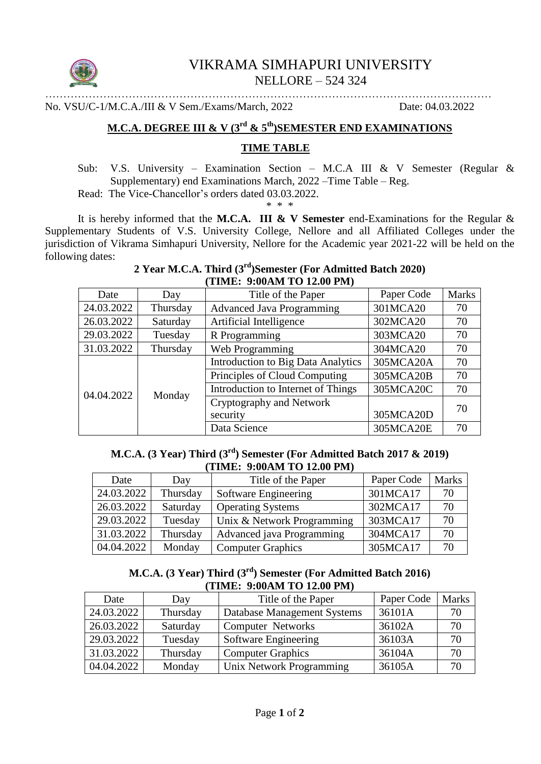

# VIKRAMA SIMHAPURI UNIVERSITY NELLORE – 524 324

…………………………………………………………………………………………………………… No. VSU/C-1/M.C.A./III & V Sem./Exams/March, 2022 Date: 04.03.2022

# **M.C.A. DEGREE III & V (3rd & 5th)SEMESTER END EXAMINATIONS**

### **TIME TABLE**

Sub: V.S. University – Examination Section – M.C.A III & V Semester (Regular & Supplementary) end Examinations March, 2022 –Time Table – Reg.

Read: The Vice-Chancellor's orders dated 03.03.2022.

\* \* \*

It is hereby informed that the **M.C.A. III & V Semester** end-Examinations for the Regular & Supplementary Students of V.S. University College, Nellore and all Affiliated Colleges under the jurisdiction of Vikrama Simhapuri University, Nellore for the Academic year 2021-22 will be held on the following dates:

## **2 Year M.C.A. Third (3rd)Semester (For Admitted Batch 2020) (TIME: 9:00AM TO 12.00 PM)**

| Date       | Day      | Title of the Paper                        | Paper Code | <b>Marks</b> |
|------------|----------|-------------------------------------------|------------|--------------|
| 24.03.2022 | Thursday | <b>Advanced Java Programming</b>          | 301MCA20   | 70           |
| 26.03.2022 | Saturday | Artificial Intelligence                   | 302MCA20   | 70           |
| 29.03.2022 | Tuesday  | R Programming                             | 303MCA20   | 70           |
| 31.03.2022 | Thursday | Web Programming                           | 304MCA20   | 70           |
| 04.04.2022 | Monday   | <b>Introduction to Big Data Analytics</b> | 305MCA20A  | 70           |
|            |          | Principles of Cloud Computing             | 305MCA20B  | 70           |
|            |          | Introduction to Internet of Things        | 305MCA20C  | 70           |
|            |          | Cryptography and Network                  |            | 70           |
|            |          | security                                  | 305MCA20D  |              |
|            |          | Data Science                              | 305MCA20E  | 70           |

## **M.C.A. (3 Year) Third (3rd) Semester (For Admitted Batch 2017 & 2019) (TIME: 9:00AM TO 12.00 PM)**

| Date       | Day      | Title of the Paper         | Paper Code | <b>Marks</b> |
|------------|----------|----------------------------|------------|--------------|
| 24.03.2022 | Thursday | Software Engineering       | 301MCA17   | 70           |
| 26.03.2022 | Saturday | <b>Operating Systems</b>   | 302MCA17   | 70           |
| 29.03.2022 | Tuesday  | Unix & Network Programming | 303MCA17   | 70           |
| 31.03.2022 | Thursday | Advanced java Programming  | 304MCA17   | 70           |
| 04.04.2022 | Monday   | <b>Computer Graphics</b>   | 305MCA17   | 70           |

## **M.C.A. (3 Year) Third (3rd) Semester (For Admitted Batch 2016) (TIME: 9:00AM TO 12.00 PM)**

| Date       | Day      | Title of the Paper          | Paper Code | <b>Marks</b> |
|------------|----------|-----------------------------|------------|--------------|
| 24.03.2022 | Thursday | Database Management Systems | 36101A     |              |
| 26.03.2022 | Saturday | <b>Computer Networks</b>    | 36102A     | 70           |
| 29.03.2022 | Tuesday  | Software Engineering        | 36103A     | 70           |
| 31.03.2022 | Thursday | <b>Computer Graphics</b>    | 36104A     | 70           |
| 04.04.2022 | Monday   | Unix Network Programming    | 36105A     | 70           |